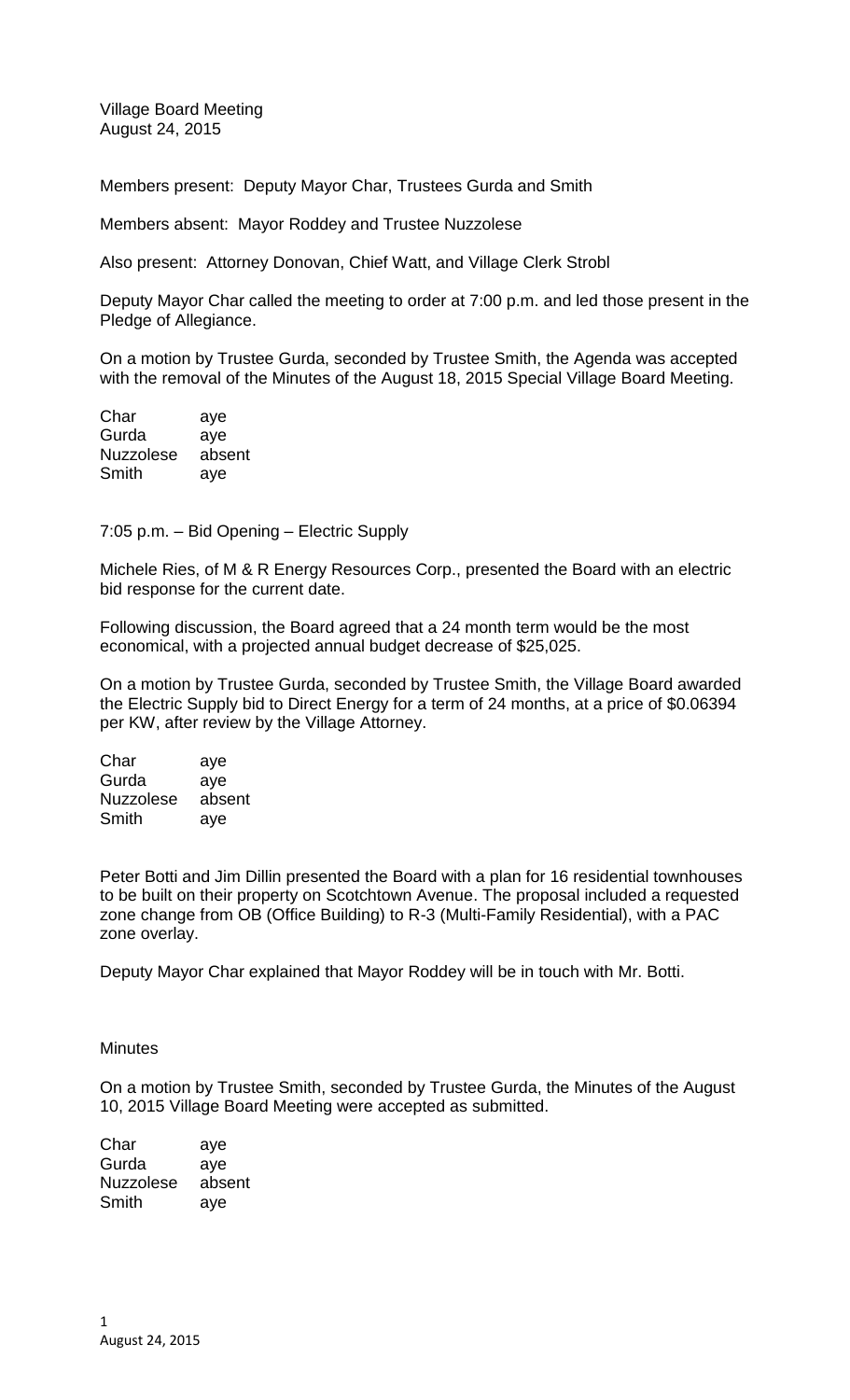Village Board Meeting August 24, 2015

Members present: Deputy Mayor Char, Trustees Gurda and Smith

Members absent: Mayor Roddey and Trustee Nuzzolese

Also present: Attorney Donovan, Chief Watt, and Village Clerk Strobl

Deputy Mayor Char called the meeting to order at 7:00 p.m. and led those present in the Pledge of Allegiance.

On a motion by Trustee Gurda, seconded by Trustee Smith, the Agenda was accepted with the removal of the Minutes of the August 18, 2015 Special Village Board Meeting.

| Char             | aye    |
|------------------|--------|
| Gurda            | aye    |
| <b>Nuzzolese</b> | absent |
| Smith            | aye    |

7:05 p.m. – Bid Opening – Electric Supply

Michele Ries, of M & R Energy Resources Corp., presented the Board with an electric bid response for the current date.

Following discussion, the Board agreed that a 24 month term would be the most economical, with a projected annual budget decrease of \$25,025.

On a motion by Trustee Gurda, seconded by Trustee Smith, the Village Board awarded the Electric Supply bid to Direct Energy for a term of 24 months, at a price of \$0.06394 per KW, after review by the Village Attorney.

Char aye Gurda aye Nuzzolese absent Smith aye

Peter Botti and Jim Dillin presented the Board with a plan for 16 residential townhouses to be built on their property on Scotchtown Avenue. The proposal included a requested zone change from OB (Office Building) to R-3 (Multi-Family Residential), with a PAC zone overlay.

Deputy Mayor Char explained that Mayor Roddey will be in touch with Mr. Botti.

## **Minutes**

On a motion by Trustee Smith, seconded by Trustee Gurda, the Minutes of the August 10, 2015 Village Board Meeting were accepted as submitted.

| Char             | aye    |
|------------------|--------|
| Gurda            | aye    |
| <b>Nuzzolese</b> | absent |
| Smith            | aye    |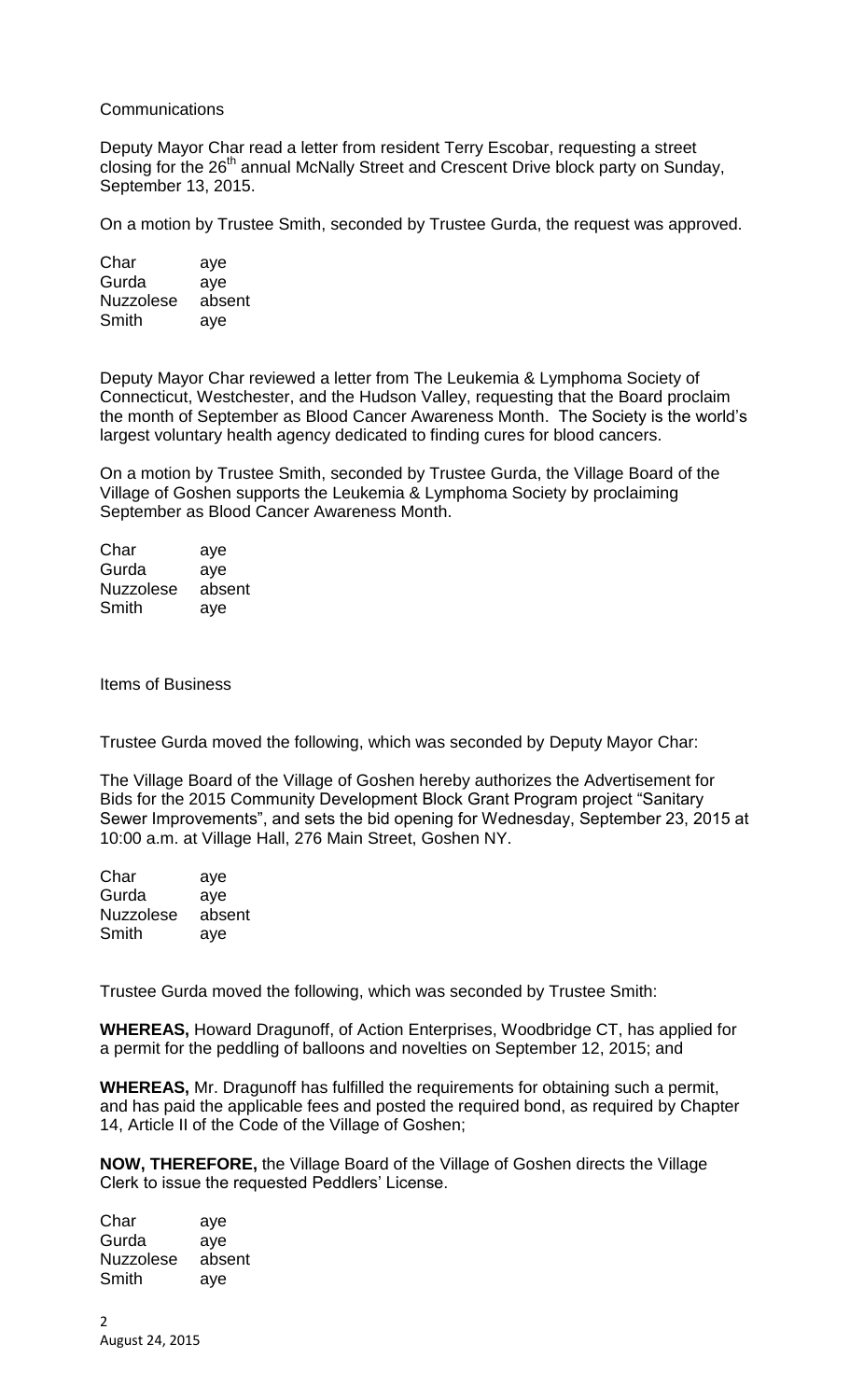## **Communications**

Deputy Mayor Char read a letter from resident Terry Escobar, requesting a street closing for the 26<sup>th</sup> annual McNally Street and Crescent Drive block party on Sunday, September 13, 2015.

On a motion by Trustee Smith, seconded by Trustee Gurda, the request was approved.

| Char             | aye    |
|------------------|--------|
| Gurda            | aye    |
| <b>Nuzzolese</b> | absent |
| Smith            | aye    |

Deputy Mayor Char reviewed a letter from The Leukemia & Lymphoma Society of Connecticut, Westchester, and the Hudson Valley, requesting that the Board proclaim the month of September as Blood Cancer Awareness Month. The Society is the world's largest voluntary health agency dedicated to finding cures for blood cancers.

On a motion by Trustee Smith, seconded by Trustee Gurda, the Village Board of the Village of Goshen supports the Leukemia & Lymphoma Society by proclaiming September as Blood Cancer Awareness Month.

| Char             | aye    |
|------------------|--------|
| Gurda            | aye    |
| <b>Nuzzolese</b> | absent |
| Smith            | aye    |

Items of Business

Trustee Gurda moved the following, which was seconded by Deputy Mayor Char:

The Village Board of the Village of Goshen hereby authorizes the Advertisement for Bids for the 2015 Community Development Block Grant Program project "Sanitary Sewer Improvements", and sets the bid opening for Wednesday, September 23, 2015 at 10:00 a.m. at Village Hall, 276 Main Street, Goshen NY.

| Char             | aye    |
|------------------|--------|
| Gurda            | aye    |
| <b>Nuzzolese</b> | absent |
| Smith            | aye    |

Trustee Gurda moved the following, which was seconded by Trustee Smith:

**WHEREAS,** Howard Dragunoff, of Action Enterprises, Woodbridge CT, has applied for a permit for the peddling of balloons and novelties on September 12, 2015; and

**WHEREAS,** Mr. Dragunoff has fulfilled the requirements for obtaining such a permit, and has paid the applicable fees and posted the required bond, as required by Chapter 14, Article II of the Code of the Village of Goshen;

**NOW, THEREFORE,** the Village Board of the Village of Goshen directs the Village Clerk to issue the requested Peddlers' License.

Char aye Gurda aye Nuzzolese absent Smith aye